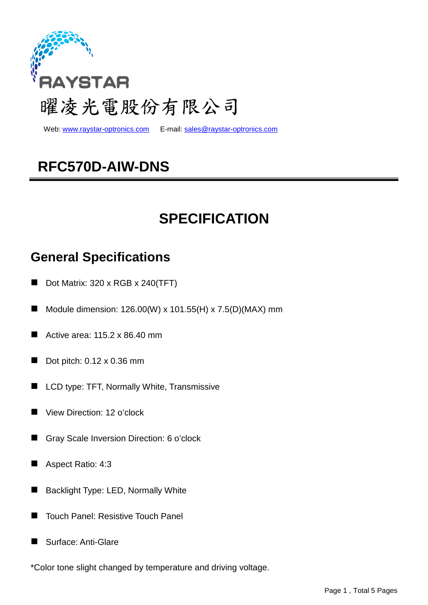

Web: www.raystar-optronics.com E-mail: sales@raystar-optronics.com

# **RFC570D-AIW-DNS**

# **SPECIFICATION**

## **General Specifications**

- Dot Matrix: 320 x RGB x 240(TFT)
- Module dimension: 126.00(W) x 101.55(H) x 7.5(D)(MAX) mm
- Active area: 115.2 x 86.40 mm
- Dot pitch: 0.12 x 0.36 mm
- LCD type: TFT, Normally White, Transmissive
- View Direction: 12 o'clock
- Gray Scale Inversion Direction: 6 o'clock
- Aspect Ratio: 4:3
- Backlight Type: LED, Normally White
- Touch Panel: Resistive Touch Panel
- Surface: Anti-Glare

\*Color tone slight changed by temperature and driving voltage.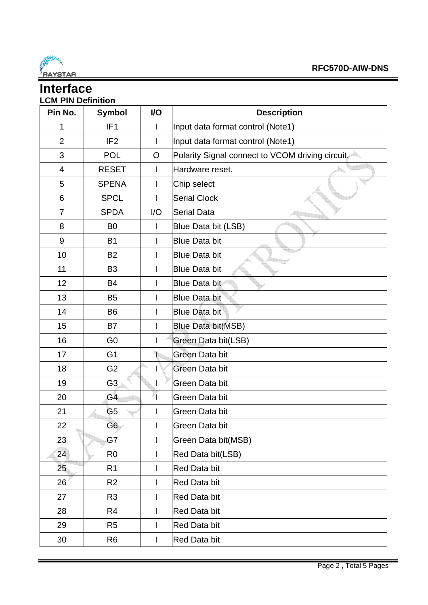

### **Interface LCM PIN Definition**

| Pin No.        | <b>Symbol</b>   | I/O          | <b>Description</b>                              |  |  |
|----------------|-----------------|--------------|-------------------------------------------------|--|--|
| 1              | IF <sub>1</sub> | I            | Input data format control (Note1)               |  |  |
| $\overline{2}$ | IF <sub>2</sub> | I            | Input data format control (Note1)               |  |  |
| 3              | <b>POL</b>      | $\circ$      | Polarity Signal connect to VCOM driving circuit |  |  |
| 4              | <b>RESET</b>    |              | Hardware reset.                                 |  |  |
| 5              | <b>SPENA</b>    | I            | Chip select                                     |  |  |
| 6              | <b>SPCL</b>     | I            | <b>Serial Clock</b>                             |  |  |
| $\overline{7}$ | <b>SPDA</b>     | I/O          | <b>Serial Data</b>                              |  |  |
| 8              | B <sub>0</sub>  | I            | Blue Data bit (LSB)                             |  |  |
| 9              | <b>B1</b>       | I            | <b>Blue Data bit</b>                            |  |  |
| 10             | <b>B2</b>       |              | <b>Blue Data bit</b>                            |  |  |
| 11             | B <sub>3</sub>  | I            | <b>Blue Data bit</b>                            |  |  |
| 12             | <b>B4</b>       |              | Blue Data bit                                   |  |  |
| 13             | <b>B5</b>       |              | <b>Blue Data bit</b>                            |  |  |
| 14             | <b>B6</b>       |              | <b>Blue Data bit</b>                            |  |  |
| 15             | B7              | ı            | <b>Blue Data bit(MSB)</b>                       |  |  |
| 16             | G <sub>0</sub>  |              | Green Data bit(LSB)                             |  |  |
| 17             | G <sub>1</sub>  | $\mathbf{I}$ | Green Data bit                                  |  |  |
| 18             | G <sub>2</sub>  | I            | Green Data bit                                  |  |  |
| 19             | G3              | $\mathsf{I}$ | Green Data bit                                  |  |  |
| 20             | G <sub>4</sub>  |              | Green Data bit                                  |  |  |
| 21             | G <sub>5</sub>  | I            | Green Data bit                                  |  |  |
| 22             | G6              | I            | Green Data bit                                  |  |  |
| 23             | G7              | I            | Green Data bit(MSB)                             |  |  |
| 24             | R <sub>0</sub>  | I            | Red Data bit(LSB)                               |  |  |
| 25             | R <sub>1</sub>  | I            | Red Data bit                                    |  |  |
| 26             | R <sub>2</sub>  | I            | Red Data bit                                    |  |  |
| 27             | R <sub>3</sub>  | I            | Red Data bit                                    |  |  |
| 28             | R4              | I            | Red Data bit                                    |  |  |
| 29             | R <sub>5</sub>  |              | Red Data bit                                    |  |  |
| 30             | R <sub>6</sub>  | ı            | Red Data bit                                    |  |  |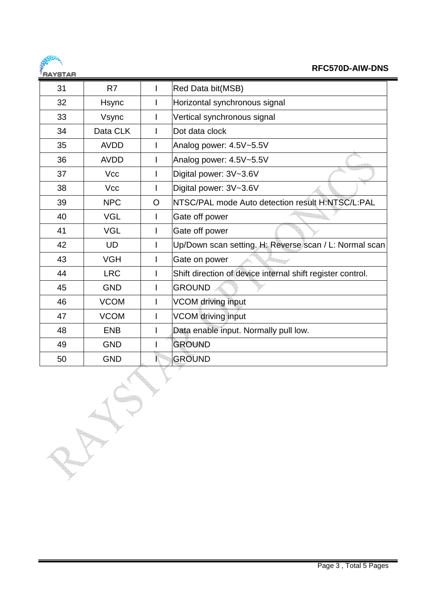

### **RFC570D-AIW-DNS**

| 31 | R7          |   | Red Data bit(MSB)                                          |  |  |  |
|----|-------------|---|------------------------------------------------------------|--|--|--|
| 32 | Hsync       |   | Horizontal synchronous signal                              |  |  |  |
| 33 | Vsync       |   | Vertical synchronous signal                                |  |  |  |
| 34 | Data CLK    | I | Dot data clock                                             |  |  |  |
| 35 | <b>AVDD</b> | I | Analog power: 4.5V~5.5V                                    |  |  |  |
| 36 | <b>AVDD</b> |   | Analog power: 4.5V~5.5V                                    |  |  |  |
| 37 | <b>Vcc</b>  | I | Digital power: 3V~3.6V                                     |  |  |  |
| 38 | <b>Vcc</b>  |   | Digital power: 3V~3.6V                                     |  |  |  |
| 39 | <b>NPC</b>  | O | NTSC/PAL mode Auto detection result H:NTSC/L:PAL           |  |  |  |
| 40 | <b>VGL</b>  | L | Gate off power                                             |  |  |  |
| 41 | <b>VGL</b>  | I | Gate off power                                             |  |  |  |
| 42 | <b>UD</b>   | I | Up/Down scan setting. H: Reverse scan / L: Normal scan     |  |  |  |
| 43 | <b>VGH</b>  | I | Gate on power                                              |  |  |  |
| 44 | <b>LRC</b>  | I | Shift direction of device internal shift register control. |  |  |  |
| 45 | <b>GND</b>  | I | <b>GROUND</b>                                              |  |  |  |
| 46 | <b>VCOM</b> | I | <b>VCOM</b> driving input                                  |  |  |  |
| 47 | <b>VCOM</b> | I | <b>VCOM</b> driving input                                  |  |  |  |
| 48 | <b>ENB</b>  |   | Data enable input. Normally pull low.                      |  |  |  |
| 49 | <b>GND</b>  |   | <b>GROUND</b>                                              |  |  |  |
| 50 | <b>GND</b>  |   | <b>GROUND</b>                                              |  |  |  |
|    |             |   |                                                            |  |  |  |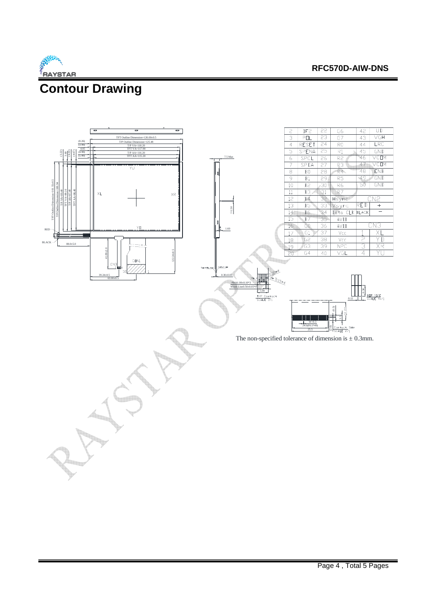

#### **RFC570D-AIW-DNS**

## **Contour Drawing**